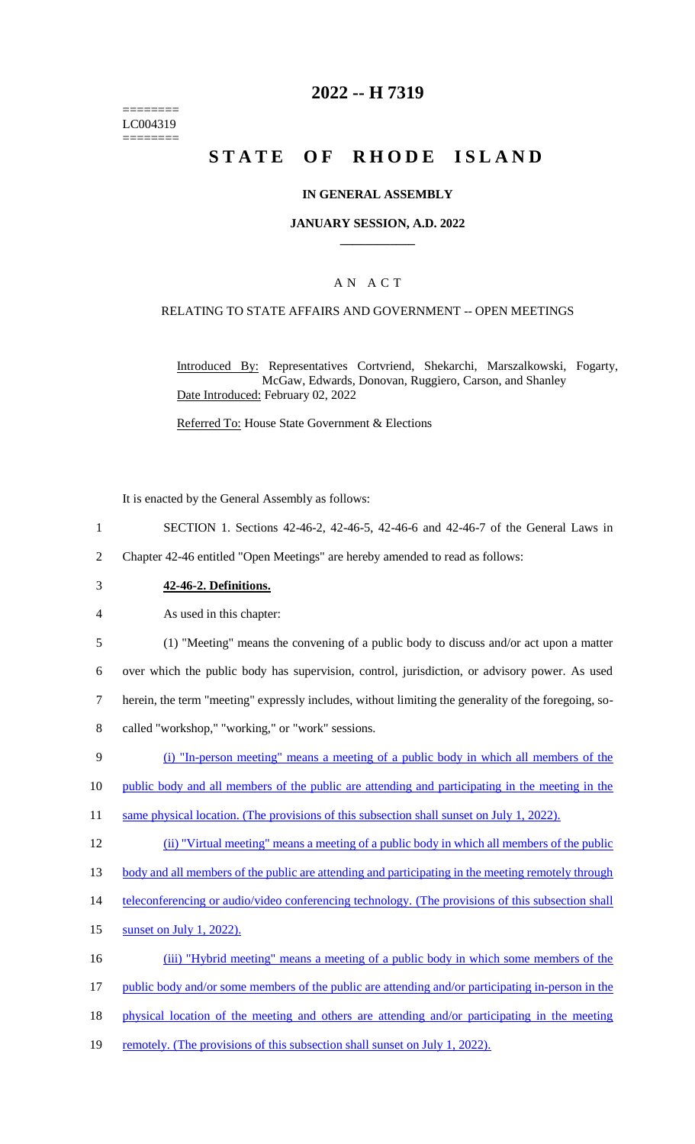======== LC004319 ========

### **2022 -- H 7319**

# **STATE OF RHODE ISLAND**

#### **IN GENERAL ASSEMBLY**

#### **JANUARY SESSION, A.D. 2022 \_\_\_\_\_\_\_\_\_\_\_\_**

#### A N A C T

#### RELATING TO STATE AFFAIRS AND GOVERNMENT -- OPEN MEETINGS

Introduced By: Representatives Cortvriend, Shekarchi, Marszalkowski, Fogarty, McGaw, Edwards, Donovan, Ruggiero, Carson, and Shanley Date Introduced: February 02, 2022

Referred To: House State Government & Elections

It is enacted by the General Assembly as follows:

- 1 SECTION 1. Sections 42-46-2, 42-46-5, 42-46-6 and 42-46-7 of the General Laws in
- 2 Chapter 42-46 entitled "Open Meetings" are hereby amended to read as follows:
- 3 **42-46-2. Definitions.**

4 As used in this chapter:

 (1) "Meeting" means the convening of a public body to discuss and/or act upon a matter over which the public body has supervision, control, jurisdiction, or advisory power. As used herein, the term "meeting" expressly includes, without limiting the generality of the foregoing, so-called "workshop," "working," or "work" sessions.

9 (i) "In-person meeting" means a meeting of a public body in which all members of the

10 public body and all members of the public are attending and participating in the meeting in the

11 same physical location. (The provisions of this subsection shall sunset on July 1, 2022).

12 (ii) "Virtual meeting" means a meeting of a public body in which all members of the public

13 body and all members of the public are attending and participating in the meeting remotely through

- 14 teleconferencing or audio/video conferencing technology. (The provisions of this subsection shall
- 15 sunset on July 1, 2022).

16 (iii) "Hybrid meeting" means a meeting of a public body in which some members of the

17 public body and/or some members of the public are attending and/or participating in-person in the

- 18 physical location of the meeting and others are attending and/or participating in the meeting
- 19 remotely. (The provisions of this subsection shall sunset on July 1, 2022).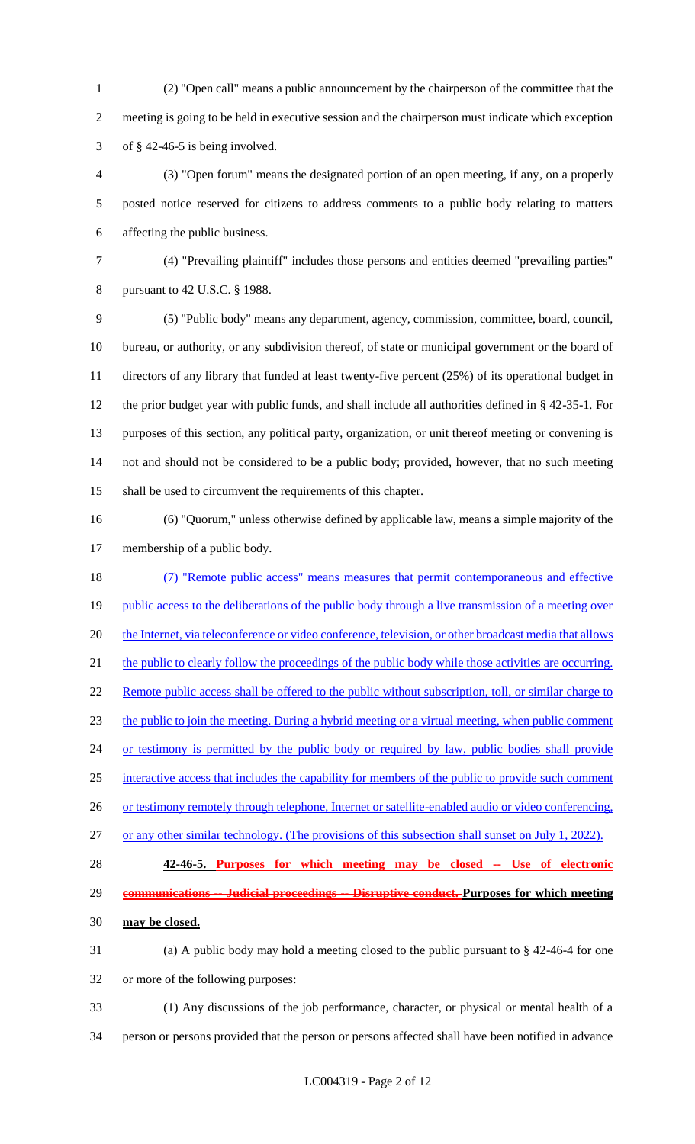(2) "Open call" means a public announcement by the chairperson of the committee that the meeting is going to be held in executive session and the chairperson must indicate which exception 3 of  $§$  42-46-5 is being involved.

 (3) "Open forum" means the designated portion of an open meeting, if any, on a properly posted notice reserved for citizens to address comments to a public body relating to matters affecting the public business.

 (4) "Prevailing plaintiff" includes those persons and entities deemed "prevailing parties" pursuant to 42 U.S.C. § 1988.

 (5) "Public body" means any department, agency, commission, committee, board, council, bureau, or authority, or any subdivision thereof, of state or municipal government or the board of directors of any library that funded at least twenty-five percent (25%) of its operational budget in the prior budget year with public funds, and shall include all authorities defined in § 42-35-1. For purposes of this section, any political party, organization, or unit thereof meeting or convening is not and should not be considered to be a public body; provided, however, that no such meeting shall be used to circumvent the requirements of this chapter.

 (6) "Quorum," unless otherwise defined by applicable law, means a simple majority of the membership of a public body.

 (7) "Remote public access" means measures that permit contemporaneous and effective 19 public access to the deliberations of the public body through a live transmission of a meeting over 20 the Internet, via teleconference or video conference, television, or other broadcast media that allows 21 the public to clearly follow the proceedings of the public body while those activities are occurring. 22 Remote public access shall be offered to the public without subscription, toll, or similar charge to the public to join the meeting. During a hybrid meeting or a virtual meeting, when public comment 24 or testimony is permitted by the public body or required by law, public bodies shall provide interactive access that includes the capability for members of the public to provide such comment 26 or testimony remotely through telephone, Internet or satellite-enabled audio or video conferencing, or any other similar technology. (The provisions of this subsection shall sunset on July 1, 2022).

 **42-46-5. Purposes for which meeting may be closed -- Use of electronic communications -- Judicial proceedings -- Disruptive conduct. Purposes for which meeting** 

- **may be closed.**
- (a) A public body may hold a meeting closed to the public pursuant to § 42-46-4 for one or more of the following purposes:
- (1) Any discussions of the job performance, character, or physical or mental health of a
- person or persons provided that the person or persons affected shall have been notified in advance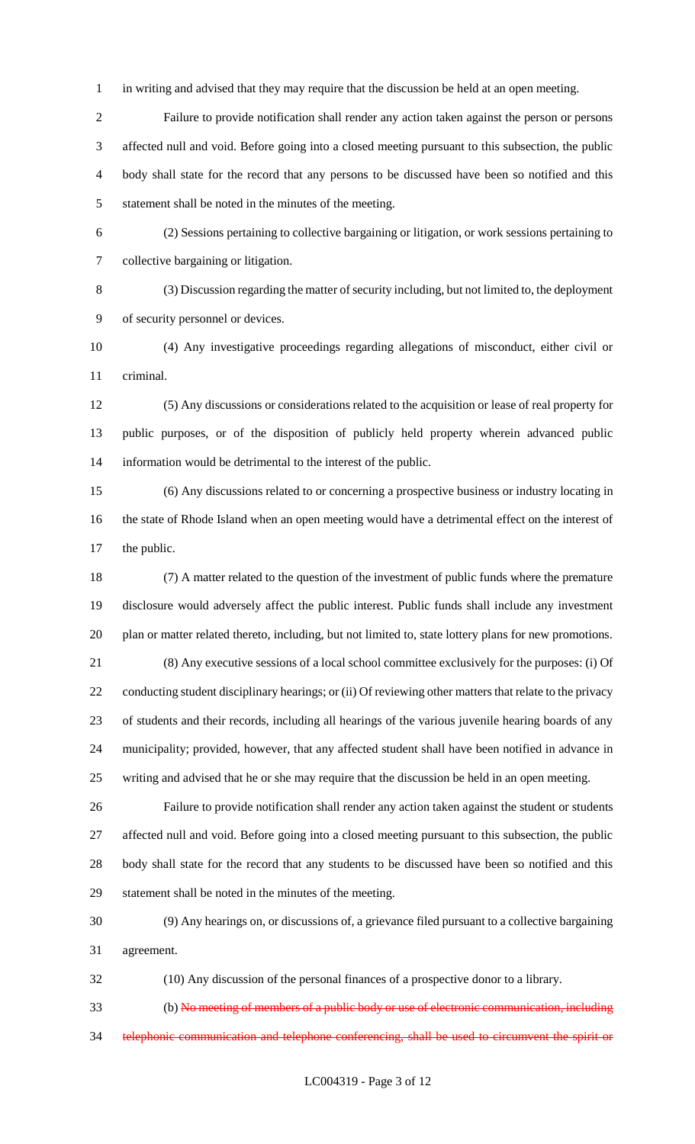in writing and advised that they may require that the discussion be held at an open meeting.

 Failure to provide notification shall render any action taken against the person or persons affected null and void. Before going into a closed meeting pursuant to this subsection, the public body shall state for the record that any persons to be discussed have been so notified and this statement shall be noted in the minutes of the meeting.

 (2) Sessions pertaining to collective bargaining or litigation, or work sessions pertaining to collective bargaining or litigation.

 (3) Discussion regarding the matter of security including, but not limited to, the deployment of security personnel or devices.

 (4) Any investigative proceedings regarding allegations of misconduct, either civil or criminal.

 (5) Any discussions or considerations related to the acquisition or lease of real property for public purposes, or of the disposition of publicly held property wherein advanced public information would be detrimental to the interest of the public.

 (6) Any discussions related to or concerning a prospective business or industry locating in the state of Rhode Island when an open meeting would have a detrimental effect on the interest of the public.

 (7) A matter related to the question of the investment of public funds where the premature disclosure would adversely affect the public interest. Public funds shall include any investment plan or matter related thereto, including, but not limited to, state lottery plans for new promotions.

 (8) Any executive sessions of a local school committee exclusively for the purposes: (i) Of 22 conducting student disciplinary hearings; or (ii) Of reviewing other matters that relate to the privacy of students and their records, including all hearings of the various juvenile hearing boards of any municipality; provided, however, that any affected student shall have been notified in advance in writing and advised that he or she may require that the discussion be held in an open meeting.

 Failure to provide notification shall render any action taken against the student or students affected null and void. Before going into a closed meeting pursuant to this subsection, the public body shall state for the record that any students to be discussed have been so notified and this statement shall be noted in the minutes of the meeting.

 (9) Any hearings on, or discussions of, a grievance filed pursuant to a collective bargaining agreement.

(10) Any discussion of the personal finances of a prospective donor to a library.

 (b) No meeting of members of a public body or use of electronic communication, including 34 telephonic communication and telephone conferencing, shall be used to circumvent the spirit or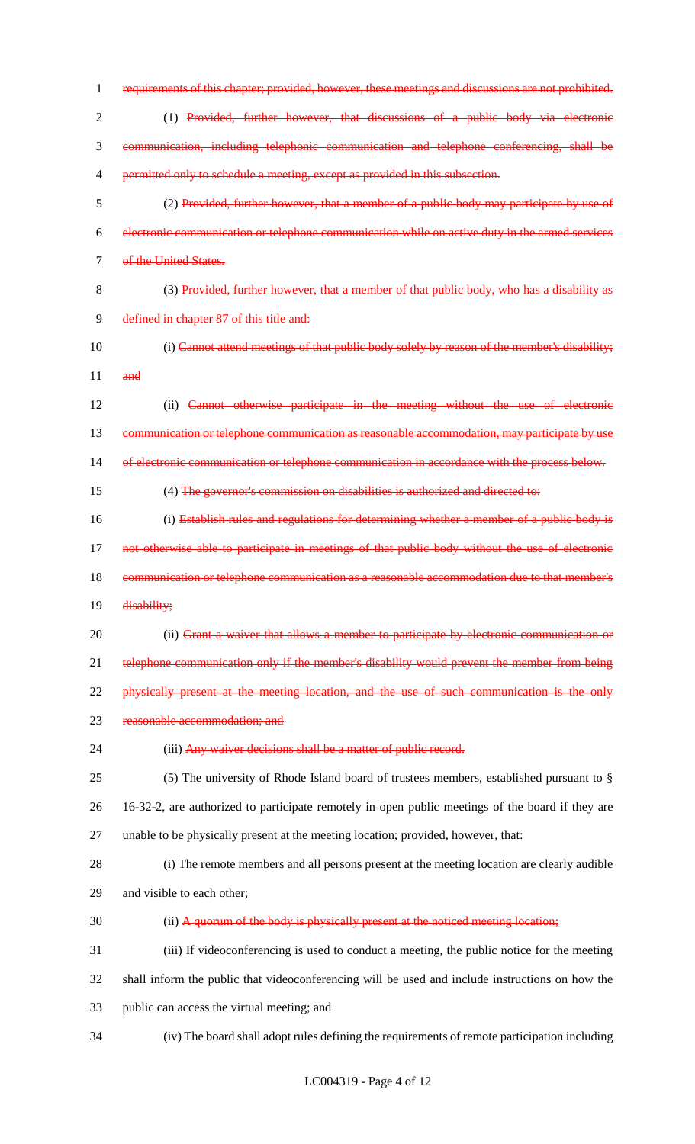| $\mathbf{1}$   | requirements of this chapter; provided, however, these meetings and discussions are not prohibited. |
|----------------|-----------------------------------------------------------------------------------------------------|
| $\overline{2}$ | (1) Provided, further however, that discussions of a public body via electronic                     |
| 3              | communication, including telephonic communication and telephone conferencing, shall be              |
| 4              | permitted only to schedule a meeting, except as provided in this subsection.                        |
| 5              | (2) Provided, further however, that a member of a public body may participate by use of             |
| 6              | electronic communication or telephone communication while on active duty in the armed services      |
| $\tau$         | of the United States.                                                                               |
| 8              | (3) Provided, further however, that a member of that public body, who has a disability as           |
| 9              | defined in chapter 87 of this title and:                                                            |
| 10             | (i) Cannot attend meetings of that public body solely by reason of the member's disability;         |
| 11             | and                                                                                                 |
| 12             | (ii) Cannot otherwise participate in the meeting without the use of electronic                      |
| 13             | communication or telephone communication as reasonable accommodation, may participate by use        |
| 14             | of electronic communication or telephone communication in accordance with the process below.        |
| 15             | (4) The governor's commission on disabilities is authorized and directed to:                        |
| 16             | (i) Establish rules and regulations for determining whether a member of a public body is            |
| 17             | not otherwise able to participate in meetings of that public body without the use of electronic     |
| 18             | communication or telephone communication as a reasonable accommodation due to that member's         |
| 19             | disability;                                                                                         |
| 20             | (ii) Grant a waiver that allows a member to participate by electronic communication or              |
| 21             | telephone communication only if the member's disability would prevent the member from being         |
| 22             | physically present at the meeting location, and the use of such communication is the only           |
| 23             | reasonable accommodation; and                                                                       |
| 24             | (iii) Any waiver decisions shall be a matter of public record.                                      |
| 25             | (5) The university of Rhode Island board of trustees members, established pursuant to $\S$          |
| 26             | 16-32-2, are authorized to participate remotely in open public meetings of the board if they are    |
| 27             | unable to be physically present at the meeting location; provided, however, that:                   |
| 28             | (i) The remote members and all persons present at the meeting location are clearly audible          |
| 29             | and visible to each other;                                                                          |
| 30             | (ii) A quorum of the body is physically present at the noticed meeting location;                    |
| 31             | (iii) If videoconferencing is used to conduct a meeting, the public notice for the meeting          |
| 32             | shall inform the public that videoconferencing will be used and include instructions on how the     |
| 33             | public can access the virtual meeting; and                                                          |
| 34             | (iv) The board shall adopt rules defining the requirements of remote participation including        |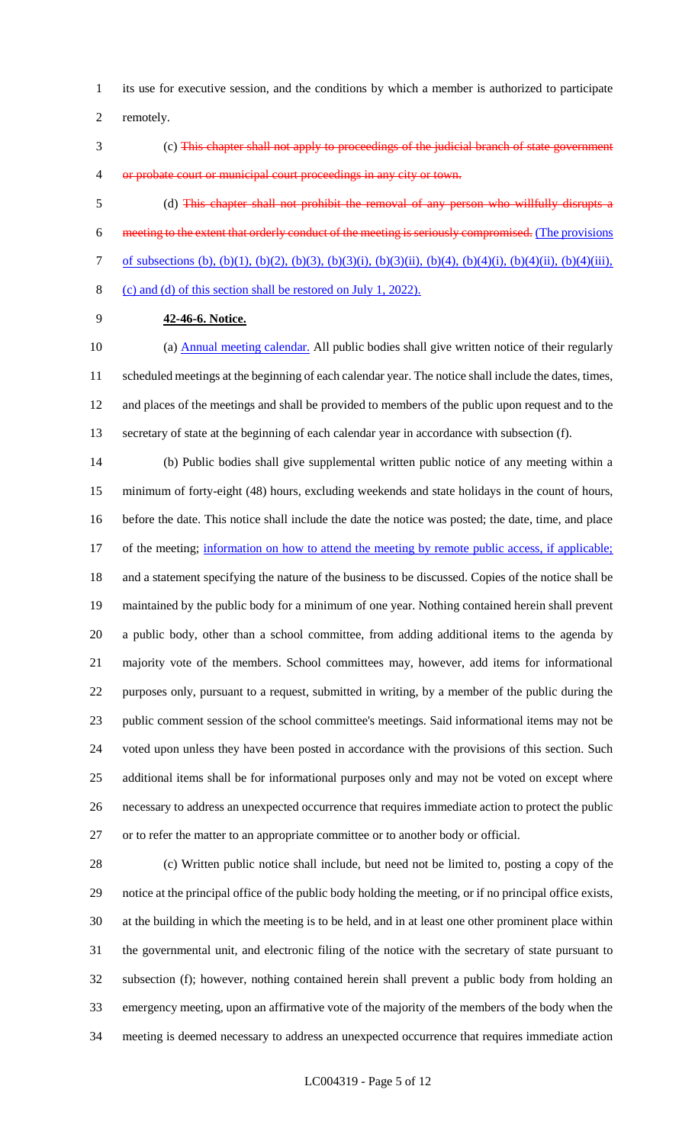its use for executive session, and the conditions by which a member is authorized to participate

remotely.

 (c) This chapter shall not apply to proceedings of the judicial branch of state government 4 or probate court or municipal court proceedings in any city or town.

 (d) This chapter shall not prohibit the removal of any person who willfully disrupts a meeting to the extent that orderly conduct of the meeting is seriously compromised. (The provisions of subsections (b), (b)(1), (b)(2), (b)(3), (b)(3)(i), (b)(3)(ii), (b)(4), (b)(4)(i), (b)(4)(ii), (b)(4)(iii), (c) and (d) of this section shall be restored on July 1, 2022).

**42-46-6. Notice.**

10 (a) Annual meeting calendar. All public bodies shall give written notice of their regularly scheduled meetings at the beginning of each calendar year. The notice shall include the dates, times, and places of the meetings and shall be provided to members of the public upon request and to the secretary of state at the beginning of each calendar year in accordance with subsection (f).

 (b) Public bodies shall give supplemental written public notice of any meeting within a minimum of forty-eight (48) hours, excluding weekends and state holidays in the count of hours, before the date. This notice shall include the date the notice was posted; the date, time, and place 17 of the meeting; information on how to attend the meeting by remote public access, if applicable; and a statement specifying the nature of the business to be discussed. Copies of the notice shall be maintained by the public body for a minimum of one year. Nothing contained herein shall prevent a public body, other than a school committee, from adding additional items to the agenda by majority vote of the members. School committees may, however, add items for informational purposes only, pursuant to a request, submitted in writing, by a member of the public during the public comment session of the school committee's meetings. Said informational items may not be voted upon unless they have been posted in accordance with the provisions of this section. Such additional items shall be for informational purposes only and may not be voted on except where necessary to address an unexpected occurrence that requires immediate action to protect the public or to refer the matter to an appropriate committee or to another body or official.

 (c) Written public notice shall include, but need not be limited to, posting a copy of the notice at the principal office of the public body holding the meeting, or if no principal office exists, at the building in which the meeting is to be held, and in at least one other prominent place within the governmental unit, and electronic filing of the notice with the secretary of state pursuant to subsection (f); however, nothing contained herein shall prevent a public body from holding an emergency meeting, upon an affirmative vote of the majority of the members of the body when the meeting is deemed necessary to address an unexpected occurrence that requires immediate action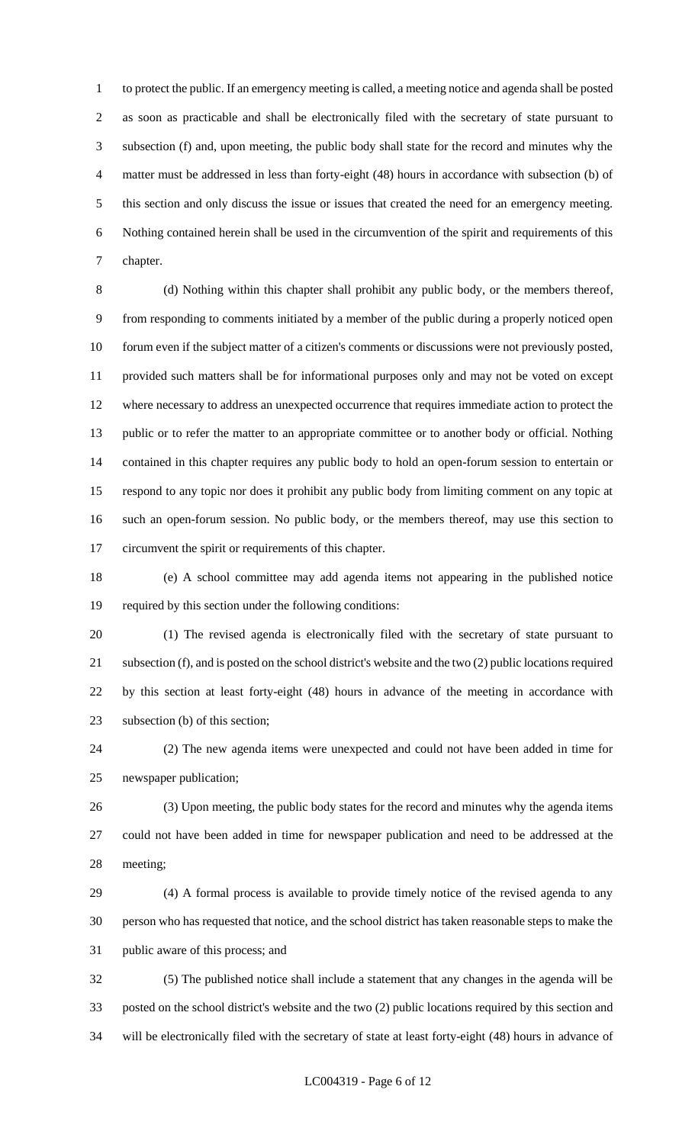to protect the public. If an emergency meeting is called, a meeting notice and agenda shall be posted as soon as practicable and shall be electronically filed with the secretary of state pursuant to subsection (f) and, upon meeting, the public body shall state for the record and minutes why the matter must be addressed in less than forty-eight (48) hours in accordance with subsection (b) of this section and only discuss the issue or issues that created the need for an emergency meeting. Nothing contained herein shall be used in the circumvention of the spirit and requirements of this chapter.

 (d) Nothing within this chapter shall prohibit any public body, or the members thereof, from responding to comments initiated by a member of the public during a properly noticed open forum even if the subject matter of a citizen's comments or discussions were not previously posted, provided such matters shall be for informational purposes only and may not be voted on except where necessary to address an unexpected occurrence that requires immediate action to protect the public or to refer the matter to an appropriate committee or to another body or official. Nothing contained in this chapter requires any public body to hold an open-forum session to entertain or respond to any topic nor does it prohibit any public body from limiting comment on any topic at such an open-forum session. No public body, or the members thereof, may use this section to circumvent the spirit or requirements of this chapter.

 (e) A school committee may add agenda items not appearing in the published notice required by this section under the following conditions:

 (1) The revised agenda is electronically filed with the secretary of state pursuant to subsection (f), and is posted on the school district's website and the two (2) public locations required by this section at least forty-eight (48) hours in advance of the meeting in accordance with subsection (b) of this section;

 (2) The new agenda items were unexpected and could not have been added in time for newspaper publication;

 (3) Upon meeting, the public body states for the record and minutes why the agenda items could not have been added in time for newspaper publication and need to be addressed at the meeting;

 (4) A formal process is available to provide timely notice of the revised agenda to any person who has requested that notice, and the school district has taken reasonable steps to make the public aware of this process; and

 (5) The published notice shall include a statement that any changes in the agenda will be posted on the school district's website and the two (2) public locations required by this section and will be electronically filed with the secretary of state at least forty-eight (48) hours in advance of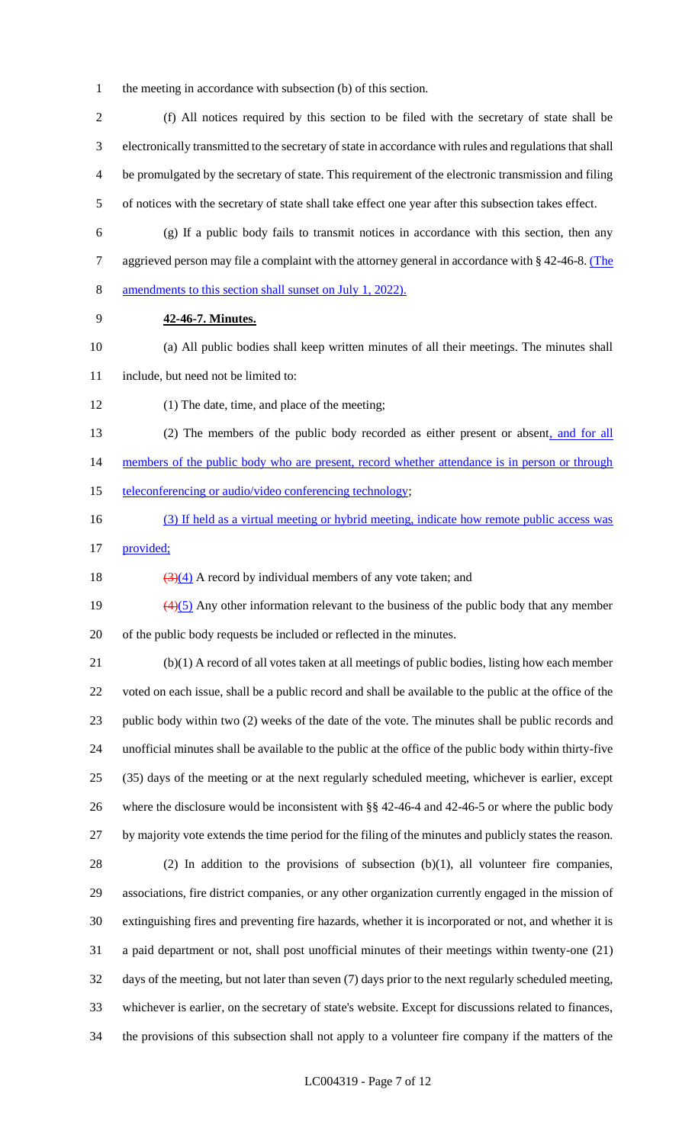- the meeting in accordance with subsection (b) of this section.
- (f) All notices required by this section to be filed with the secretary of state shall be electronically transmitted to the secretary of state in accordance with rules and regulations that shall be promulgated by the secretary of state. This requirement of the electronic transmission and filing of notices with the secretary of state shall take effect one year after this subsection takes effect.
- 
- (g) If a public body fails to transmit notices in accordance with this section, then any 7 aggrieved person may file a complaint with the attorney general in accordance with § 42-46-8. (The amendments to this section shall sunset on July 1, 2022).
- **42-46-7. Minutes.**
- (a) All public bodies shall keep written minutes of all their meetings. The minutes shall include, but need not be limited to:
- (1) The date, time, and place of the meeting;
- 13 (2) The members of the public body recorded as either present or absent, and for all 14 members of the public body who are present, record whether attendance is in person or through
- 15 teleconferencing or audio/video conferencing technology;
- (3) If held as a virtual meeting or hybrid meeting, indicate how remote public access was
- provided;
- 18  $(3)(4)$  A record by individual members of any vote taken; and
- 19  $\left(4\right)\left(5\right)$  Any other information relevant to the business of the public body that any member of the public body requests be included or reflected in the minutes.
- (b)(1) A record of all votes taken at all meetings of public bodies, listing how each member voted on each issue, shall be a public record and shall be available to the public at the office of the public body within two (2) weeks of the date of the vote. The minutes shall be public records and unofficial minutes shall be available to the public at the office of the public body within thirty-five (35) days of the meeting or at the next regularly scheduled meeting, whichever is earlier, except where the disclosure would be inconsistent with §§ 42-46-4 and 42-46-5 or where the public body by majority vote extends the time period for the filing of the minutes and publicly states the reason.
- (2) In addition to the provisions of subsection (b)(1), all volunteer fire companies, associations, fire district companies, or any other organization currently engaged in the mission of extinguishing fires and preventing fire hazards, whether it is incorporated or not, and whether it is a paid department or not, shall post unofficial minutes of their meetings within twenty-one (21) days of the meeting, but not later than seven (7) days prior to the next regularly scheduled meeting, whichever is earlier, on the secretary of state's website. Except for discussions related to finances, the provisions of this subsection shall not apply to a volunteer fire company if the matters of the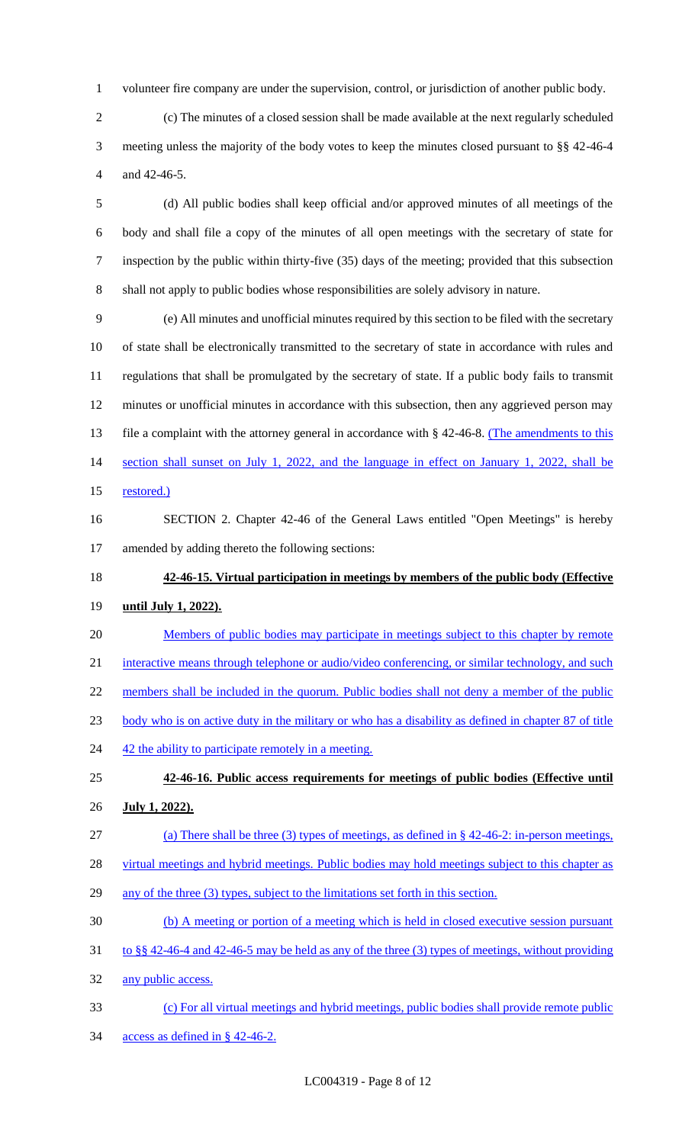volunteer fire company are under the supervision, control, or jurisdiction of another public body.

 (c) The minutes of a closed session shall be made available at the next regularly scheduled meeting unless the majority of the body votes to keep the minutes closed pursuant to §§ 42-46-4 and 42-46-5.

 (d) All public bodies shall keep official and/or approved minutes of all meetings of the body and shall file a copy of the minutes of all open meetings with the secretary of state for inspection by the public within thirty-five (35) days of the meeting; provided that this subsection shall not apply to public bodies whose responsibilities are solely advisory in nature.

 (e) All minutes and unofficial minutes required by this section to be filed with the secretary of state shall be electronically transmitted to the secretary of state in accordance with rules and regulations that shall be promulgated by the secretary of state. If a public body fails to transmit minutes or unofficial minutes in accordance with this subsection, then any aggrieved person may 13 file a complaint with the attorney general in accordance with § 42-46-8. (The amendments to this section shall sunset on July 1, 2022, and the language in effect on January 1, 2022, shall be 15 restored.)

 SECTION 2. Chapter 42-46 of the General Laws entitled "Open Meetings" is hereby amended by adding thereto the following sections:

**42-46-15. Virtual participation in meetings by members of the public body (Effective** 

### **until July 1, 2022).**

Members of public bodies may participate in meetings subject to this chapter by remote

21 interactive means through telephone or audio/video conferencing, or similar technology, and such

- 22 members shall be included in the quorum. Public bodies shall not deny a member of the public
- body who is on active duty in the military or who has a disability as defined in chapter 87 of title
- 24 42 the ability to participate remotely in a meeting.
- **42-46-16. Public access requirements for meetings of public bodies (Effective until July 1, 2022).**
- (a) There shall be three (3) types of meetings, as defined in § 42-46-2: in-person meetings,
- 28 virtual meetings and hybrid meetings. Public bodies may hold meetings subject to this chapter as
- 29 any of the three (3) types, subject to the limitations set forth in this section.
- (b) A meeting or portion of a meeting which is held in closed executive session pursuant
- to §§ 42-46-4 and 42-46-5 may be held as any of the three (3) types of meetings, without providing
- any public access.
- (c) For all virtual meetings and hybrid meetings, public bodies shall provide remote public access as defined in § 42-46-2.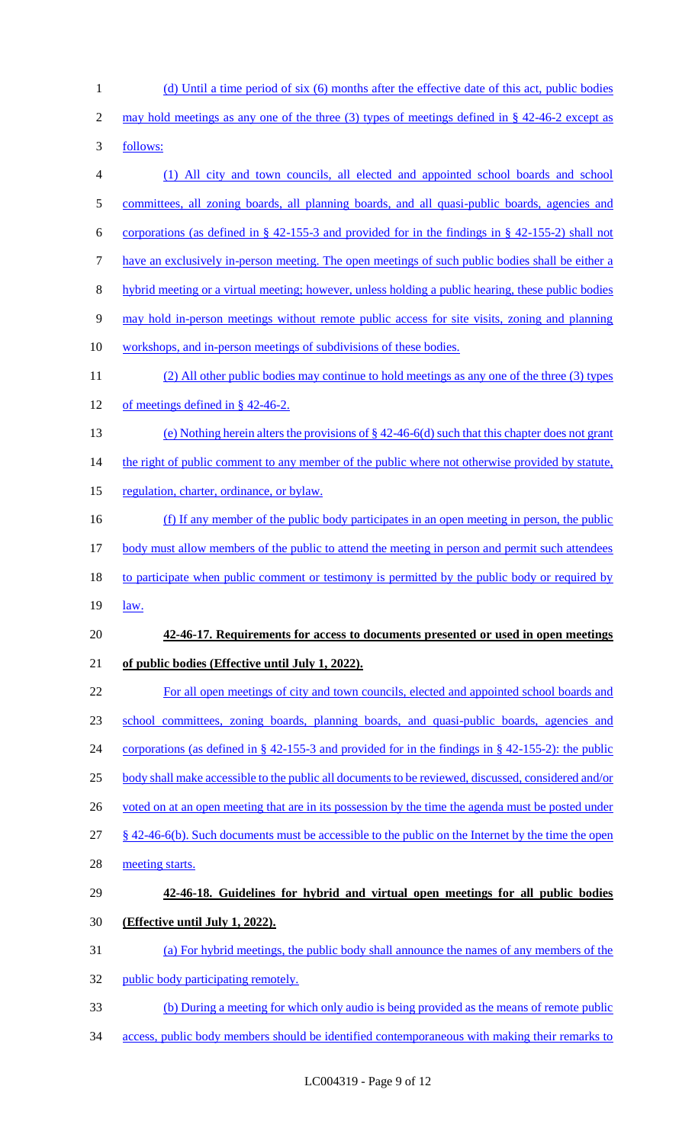(d) Until a time period of six (6) months after the effective date of this act, public bodies 2 may hold meetings as any one of the three (3) types of meetings defined in § 42-46-2 except as follows: (1) All city and town councils, all elected and appointed school boards and school 5 committees, all zoning boards, all planning boards, and all quasi-public boards, agencies and corporations (as defined in § 42-155-3 and provided for in the findings in § 42-155-2) shall not have an exclusively in-person meeting. The open meetings of such public bodies shall be either a hybrid meeting or a virtual meeting; however, unless holding a public hearing, these public bodies may hold in-person meetings without remote public access for site visits, zoning and planning 10 workshops, and in-person meetings of subdivisions of these bodies. (2) All other public bodies may continue to hold meetings as any one of the three (3) types of meetings defined in § 42-46-2. (e) Nothing herein alters the provisions of § 42-46-6(d) such that this chapter does not grant 14 the right of public comment to any member of the public where not otherwise provided by statute, 15 regulation, charter, ordinance, or bylaw. 16 (f) If any member of the public body participates in an open meeting in person, the public 17 body must allow members of the public to attend the meeting in person and permit such attendees 18 to participate when public comment or testimony is permitted by the public body or required by 19 <u>law.</u> **42-46-17. Requirements for access to documents presented or used in open meetings of public bodies (Effective until July 1, 2022).**  For all open meetings of city and town councils, elected and appointed school boards and school committees, zoning boards, planning boards, and quasi-public boards, agencies and corporations (as defined in § 42-155-3 and provided for in the findings in § 42-155-2): the public body shall make accessible to the public all documents to be reviewed, discussed, considered and/or 26 voted on at an open meeting that are in its possession by the time the agenda must be posted under 27 § 42-46-6(b). Such documents must be accessible to the public on the Internet by the time the open meeting starts. **42-46-18. Guidelines for hybrid and virtual open meetings for all public bodies (Effective until July 1, 2022).**  (a) For hybrid meetings, the public body shall announce the names of any members of the 32 public body participating remotely. (b) During a meeting for which only audio is being provided as the means of remote public access, public body members should be identified contemporaneous with making their remarks to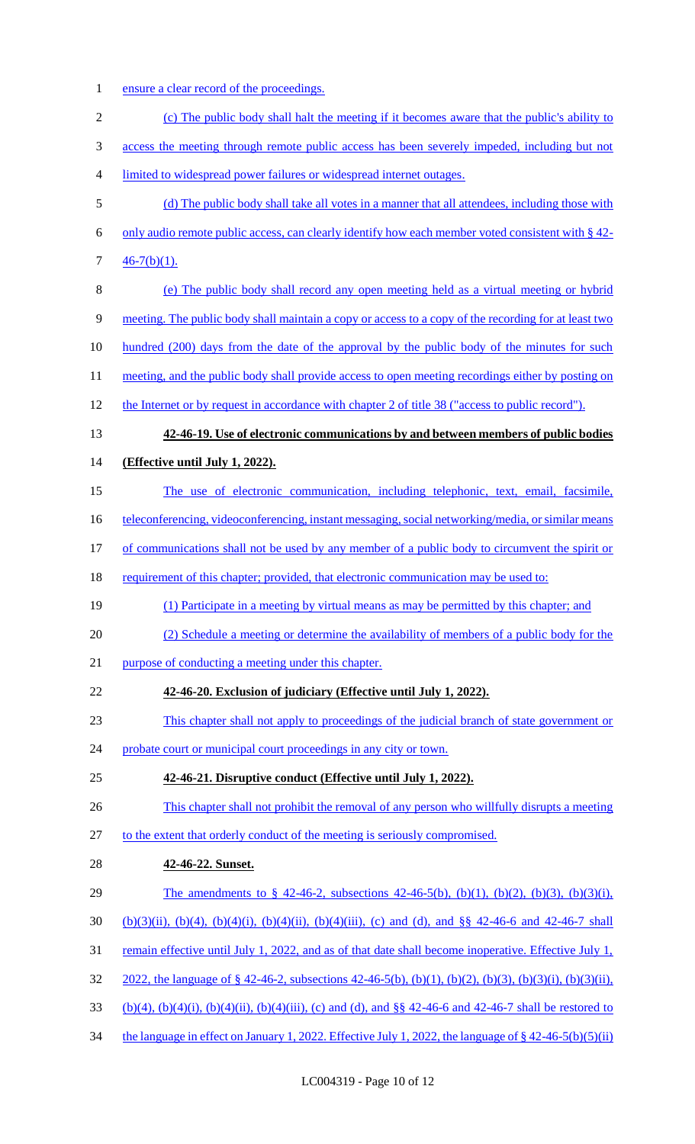1 ensure a clear record of the proceedings.

| $\overline{2}$ | (c) The public body shall halt the meeting if it becomes aware that the public's ability to                          |
|----------------|----------------------------------------------------------------------------------------------------------------------|
| 3              | access the meeting through remote public access has been severely impeded, including but not                         |
| 4              | limited to widespread power failures or widespread internet outages.                                                 |
| 5              | (d) The public body shall take all votes in a manner that all attendees, including those with                        |
| 6              | only audio remote public access, can clearly identify how each member voted consistent with § 42-                    |
| 7              | $46-7(b)(1)$ .                                                                                                       |
| 8              | (e) The public body shall record any open meeting held as a virtual meeting or hybrid                                |
| 9              | meeting. The public body shall maintain a copy or access to a copy of the recording for at least two                 |
| 10             | hundred (200) days from the date of the approval by the public body of the minutes for such                          |
| 11             | meeting, and the public body shall provide access to open meeting recordings either by posting on                    |
| 12             | the Internet or by request in accordance with chapter 2 of title 38 ("access to public record").                     |
| 13             | 42-46-19. Use of electronic communications by and between members of public bodies                                   |
| 14             | (Effective until July 1, 2022).                                                                                      |
| 15             | The use of electronic communication, including telephonic, text, email, facsimile,                                   |
| 16             | <u>teleconferencing, videoconferencing, instant messaging, social networking/media, or similar means</u>             |
| 17             | of communications shall not be used by any member of a public body to circumvent the spirit or                       |
| 18             | requirement of this chapter; provided, that electronic communication may be used to:                                 |
| 19             | (1) Participate in a meeting by virtual means as may be permitted by this chapter; and                               |
| 20             | (2) Schedule a meeting or determine the availability of members of a public body for the                             |
| 21             | purpose of conducting a meeting under this chapter.                                                                  |
| 22             | 42-46-20. Exclusion of judiciary (Effective until July 1, 2022).                                                     |
| 23             | This chapter shall not apply to proceedings of the judicial branch of state government or                            |
| 24             | probate court or municipal court proceedings in any city or town.                                                    |
| 25             | 42-46-21. Disruptive conduct (Effective until July 1, 2022).                                                         |
| 26             | This chapter shall not prohibit the removal of any person who willfully disrupts a meeting                           |
| 27             | to the extent that orderly conduct of the meeting is seriously compromised.                                          |
| 28             | 42-46-22. Sunset.                                                                                                    |
| 29             | The amendments to § 42-46-2, subsections 42-46-5(b), (b)(1), (b)(2), (b)(3), (b)(3)(i),                              |
| 30             | $(b)(3)(ii)$ , $(b)(4)$ , $(b)(4)(i)$ , $(b)(4)(ii)$ , $(b)(4)(iii)$ , (c) and (d), and §§ 42-46-6 and 42-46-7 shall |
| 31             | <u>remain effective until July 1, 2022, and as of that date shall become inoperative. Effective July 1,</u>          |
| 32             | 2022, the language of § 42-46-2, subsections 42-46-5(b), (b)(1), (b)(2), (b)(3), (b)(3)(i), (b)(3)(ii),              |
| 33             | $(b)(4)$ , $(b)(4)(i)$ , $(b)(4)(ii)$ , $(b)(4)(iii)$ , (c) and (d), and §§ 42-46-6 and 42-46-7 shall be restored to |
| 34             | the language in effect on January 1, 2022. Effective July 1, 2022, the language of $\S$ 42-46-5(b)(5)(ii)            |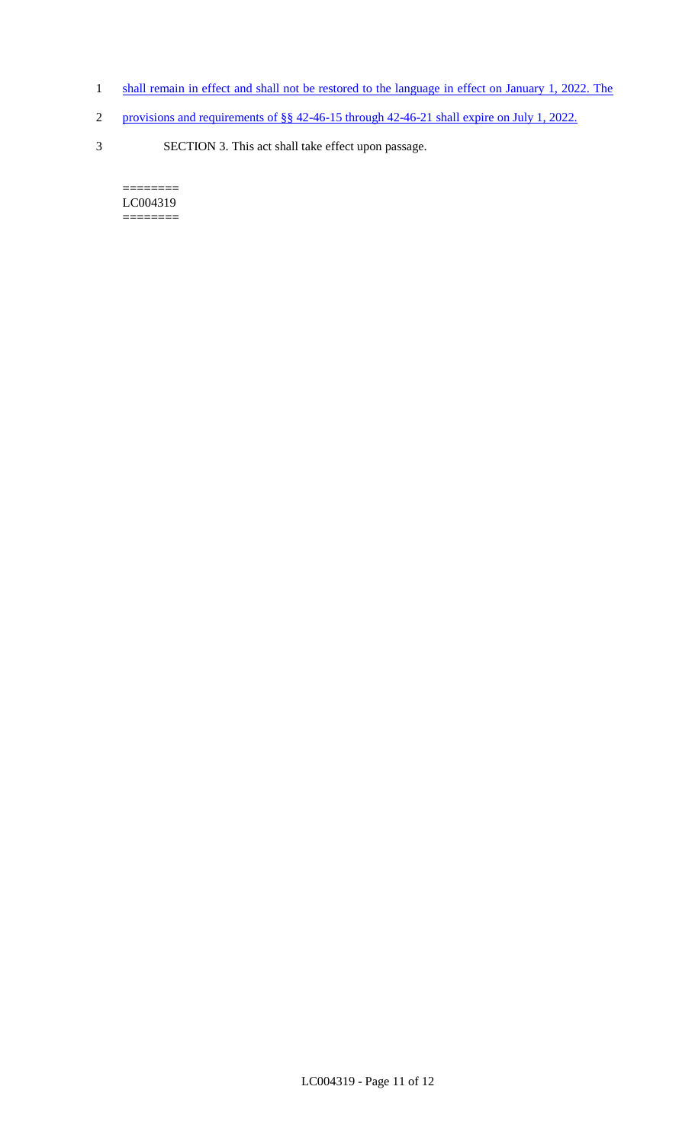- 1 shall remain in effect and shall not be restored to the language in effect on January 1, 2022. The
- 2 provisions and requirements of §§ 42-46-15 through 42-46-21 shall expire on July 1, 2022.
- 3 SECTION 3. This act shall take effect upon passage.

 $=$ LC004319 ========